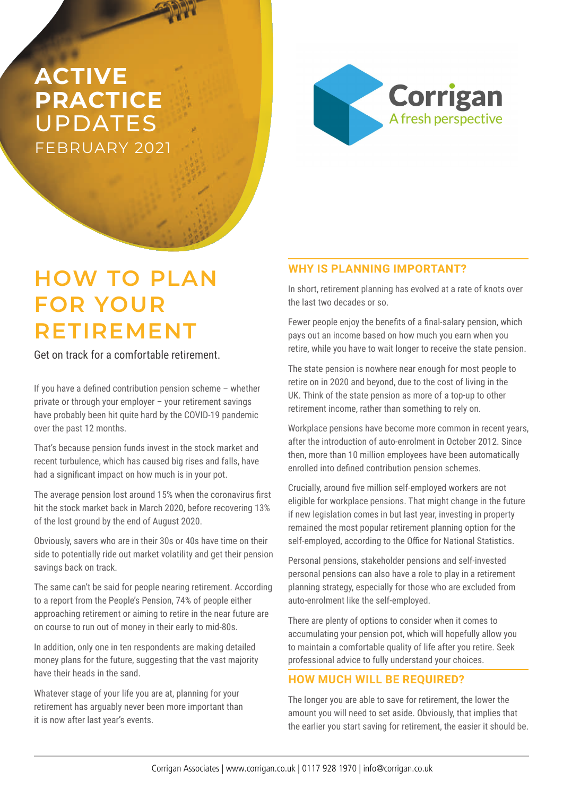# **ACTIVE PRACTICE**  UPDATES FEBRUARY 2021



# **HOW TO PLAN FOR YOUR RETIREMENT**

Get on track for a comfortable retirement.

If you have a defined contribution pension scheme – whether private or through your employer – your retirement savings have probably been hit quite hard by the COVID-19 pandemic over the past 12 months.

That's because pension funds invest in the stock market and recent turbulence, which has caused big rises and falls, have had a significant impact on how much is in your pot.

The average pension lost around 15% when the coronavirus first hit the stock market back in March 2020, before recovering 13% of the lost ground by the end of August 2020.

Obviously, savers who are in their 30s or 40s have time on their side to potentially ride out market volatility and get their pension savings back on track.

The same can't be said for people nearing retirement. According to a report from the People's Pension, 74% of people either approaching retirement or aiming to retire in the near future are on course to run out of money in their early to mid-80s.

In addition, only one in ten respondents are making detailed money plans for the future, suggesting that the vast majority have their heads in the sand.

Whatever stage of your life you are at, planning for your retirement has arguably never been more important than it is now after last year's events.

## **WHY IS PLANNING IMPORTANT?**

In short, retirement planning has evolved at a rate of knots over the last two decades or so.

Fewer people enjoy the benefits of a final-salary pension, which pays out an income based on how much you earn when you retire, while you have to wait longer to receive the state pension.

The state pension is nowhere near enough for most people to retire on in 2020 and beyond, due to the cost of living in the UK. Think of the state pension as more of a top-up to other retirement income, rather than something to rely on.

Workplace pensions have become more common in recent years, after the introduction of auto-enrolment in October 2012. Since then, more than 10 million employees have been automatically enrolled into defined contribution pension schemes.

Crucially, around five million self-employed workers are not eligible for workplace pensions. That might change in the future if new legislation comes in but last year, investing in property remained the most popular retirement planning option for the self-employed, according to the Office for National Statistics.

Personal pensions, stakeholder pensions and self-invested personal pensions can also have a role to play in a retirement planning strategy, especially for those who are excluded from auto-enrolment like the self-employed.

There are plenty of options to consider when it comes to accumulating your pension pot, which will hopefully allow you to maintain a comfortable quality of life after you retire. Seek professional advice to fully understand your choices.

## **HOW MUCH WILL BE REQUIRED?**

The longer you are able to save for retirement, the lower the amount you will need to set aside. Obviously, that implies that the earlier you start saving for retirement, the easier it should be.